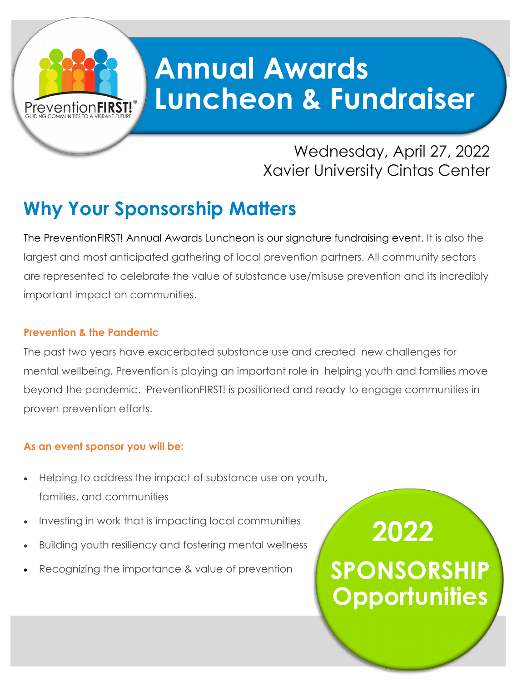# **Annual Awards Luncheon & Fundraiser**

## Wednesday, April 27, 2022 Xavier University Cintas Center

## **Why Your Sponsorship Matters**

The PreventionFIRST! Annual Awards Luncheon is our signature fundraising event. It is also the largest and most anticipated gathering of local prevention partners. All community sectors are represented to celebrate the value of substance use/misuse prevention and its incredibly important impact on communities.

### **Prevention & the Pandemic**

Prevention**FIRST!** 

The past two years have exacerbated substance use and created new challenges for mental wellbeing. Prevention is playing an important role in helping youth and families move beyond the pandemic. PreventionFIRST! is positioned and ready to engage communities in proven prevention efforts.

### **As an event sponsor you will be:**

- Helping to address the impact of substance use on youth, families, and communities
- Investing in work that is impacting local communities
- Building youth resiliency and fostering mental wellness
- Recognizing the importance & value of prevention

**2022 2022 SPONSORSHIP PACKAES**<br>PACKLINIKI **SPONSORSHIP Opportunities**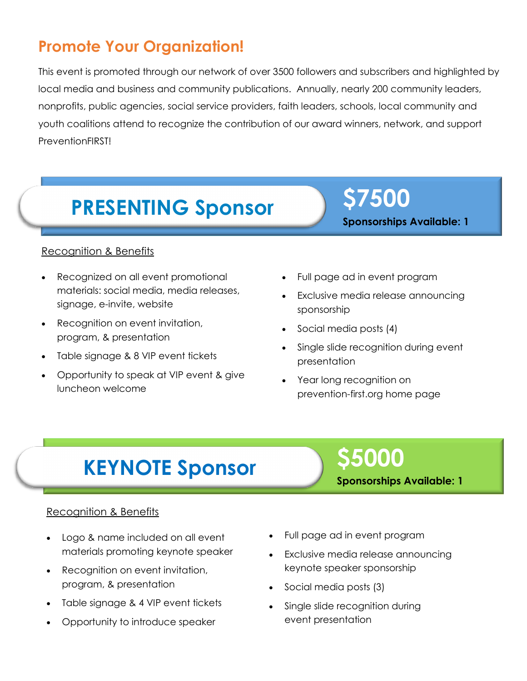## **Promote Your Organization!**

This event is promoted through our network of over 3500 followers and subscribers and highlighted by local media and business and community publications. Annually, nearly 200 community leaders, nonprofits, public agencies, social service providers, faith leaders, schools, local community and youth coalitions attend to recognize the contribution of our award winners, network, and support PreventionFIRST!

# **PRESENTING Sponsor \$7500**

#### Recognition & Benefits

- Recognized on all event promotional materials: social media, media releases, signage, e-invite, website
- Recognition on event invitation, program, & presentation
- Table signage & 8 VIP event tickets
- Opportunity to speak at VIP event & give luncheon welcome
- Full page ad in event program
- Exclusive media release announcing sponsorship

**Sponsorships Available: 1**

- Social media posts (4)
- Single slide recognition during event presentation
- Year long recognition on prevention-first.org home page

# **KEYNOTE Sponsor**

# **\$5000**

**Sponsorships Available: 1**

#### Recognition & Benefits

- Logo & name included on all event materials promoting keynote speaker
- Recognition on event invitation, program, & presentation
- Table signage & 4 VIP event tickets
- Opportunity to introduce speaker
- Full page ad in event program
- Exclusive media release announcing keynote speaker sponsorship
- Social media posts (3)
- Single slide recognition during event presentation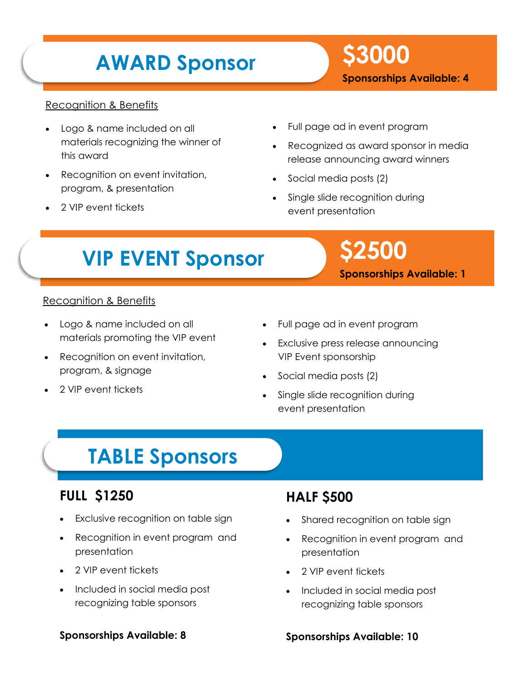# **AWARD Sponsor \$3000**

**Sponsorships Available: 4**

#### Recognition & Benefits

- Logo & name included on all materials recognizing the winner of this award
- Recognition on event invitation, program, & presentation
- 2 VIP event tickets
- Full page ad in event program
- Recognized as award sponsor in media release announcing award winners
- Social media posts (2)
- Single slide recognition during event presentation

# **VIP EVENT Sponsor \$2500**

**Sponsorships Available: 1**

## Recognition & Benefits

- Logo & name included on all materials promoting the VIP event
- Recognition on event invitation, program, & signage
- 2 VIP event tickets
- Full page ad in event program
- Exclusive press release announcing VIP Event sponsorship
- Social media posts (2)
- Single slide recognition during event presentation

## **TABLE Sponsors**

### **FULL \$1250**

- Exclusive recognition on table sign
- Recognition in event program and presentation
- 2 VIP event tickets
- Included in social media post recognizing table sponsors

## **HALF \$500**

- Shared recognition on table sign
- Recognition in event program and presentation
- 2 VIP event tickets
- Included in social media post recognizing table sponsors

#### **Sponsorships Available: 8**

#### **Sponsorships Available: 10**